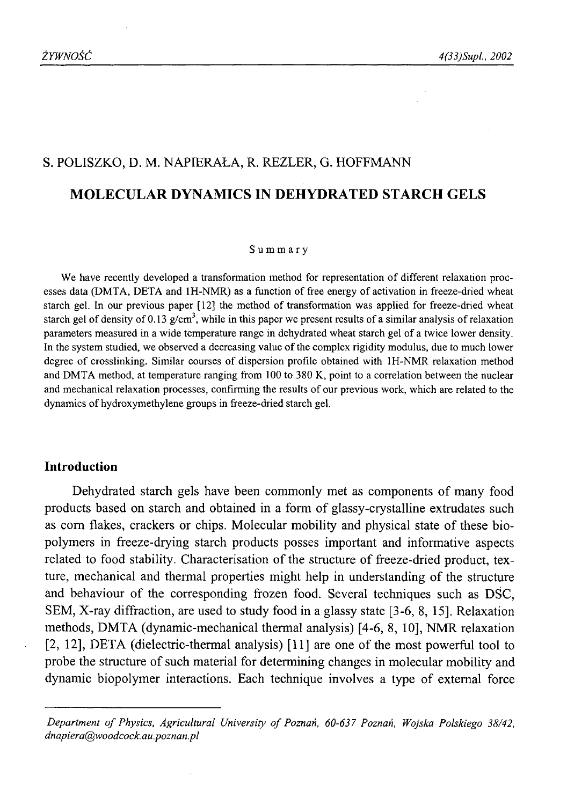# S. POLISZKO, D. M. NAPIERAŁA, R. REZLER, G. HOFFMANN **MOLECULAR DYNAMICS IN DEHYDRATED STARCH GELS**

#### Summary

We have recently developed a transformation method for representation of different relaxation processes data (DMTA, DETA and 1H-NMR) as a function of free energy of activation in freeze-dried wheat starch gel. In our previous paper [12] the method of transformation was applied for freeze-dried wheat starch gel of density of 0.13  $g/cm<sup>3</sup>$ , while in this paper we present results of a similar analysis of relaxation parameters measured in a wide temperature range in dehydrated wheat starch gel of a twice lower density. In the system studied, we observed a decreasing value of the complex rigidity modulus, due to much lower degree of crosslinking. Similar courses of dispersion profile obtained with 1H-NMR relaxation method and DMTA method, at temperature ranging from 100 to 380 K, point to a correlation between the nuclear and mechanical relaxation processes, confirming the results of our previous work, which are related to the dynamics of hydroxymethylene groups in freeze-dried starch gel.

#### **Introduction**

Dehydrated starch gels have been commonly met as components of many food products based on starch and obtained in a form of glassy-crystalline extrudates such as com flakes, crackers or chips. Molecular mobility and physical state of these biopolymers in freeze-drying starch products posses important and informative aspects related to food stability. Characterisation of the structure of freeze-dried product, texture, mechanical and thermal properties might help in understanding of the structure and behaviour of the corresponding frozen food. Several techniques such as DSC, SEM, X-ray diffraction, are used to study food in a glassy state [3-6, 8, 15]. Relaxation methods, DMTA (dynamic-mechanical thermal analysis) [4-6, <sup>8</sup> , 10], NMR relaxation [2, 12], DETA (dielectric-thermal analysis) [11] are one of the most powerful tool to probe the structure of such material for determining changes in molecular mobility and dynamic biopolymer interactions. Each technique involves a type of external force

Department of Physics, Agricultural University of Poznań, 60-637 Poznań, Wojska Polskiego 38/42, *dnapiera@woodcock. au.poznan.pl*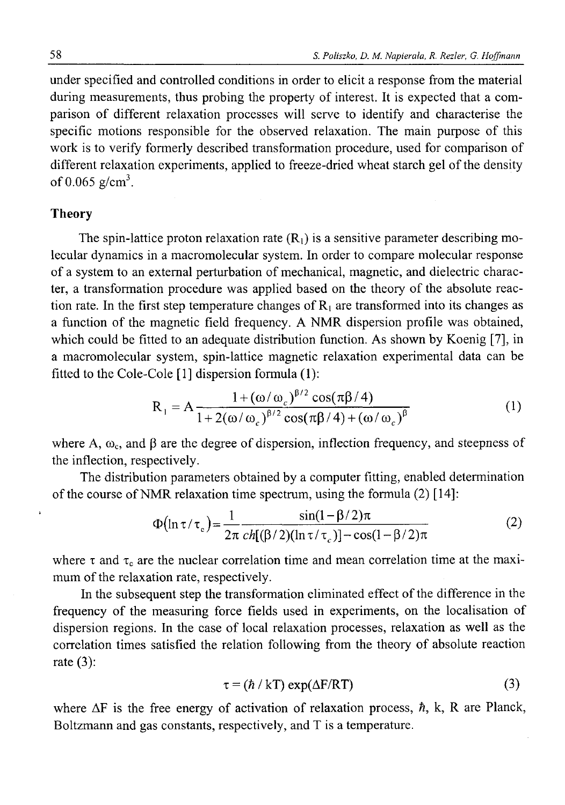under specified and controlled conditions in order to elicit a response from the material during measurements, thus probing the property of interest. It is expected that a comparison of different relaxation processes will serve to identify and characterise the specific motions responsible for the observed relaxation. The main purpose of this work is to verify formerly described transformation procedure, used for comparison of different relaxation experiments, applied to freeze-dried wheat starch gel of the density of 0.065  $g/cm^3$ .

#### **Theory**

The spin-lattice proton relaxation rate  $(R<sub>1</sub>)$  is a sensitive parameter describing molecular dynamics in a macromolecular system. In order to compare molecular response of a system to an external perturbation of mechanical, magnetic, and dielectric character, a transformation procedure was applied based on the theory of the absolute reaction rate. In the first step temperature changes of  $R_1$  are transformed into its changes as a function of the magnetic field frequency. A NMR dispersion profile was obtained, which could be fitted to an adequate distribution function. As shown by Koenig [7], in a macromolecular system, spin-lattice magnetic relaxation experimental data can be fitted to the Cole-Cole [1] dispersion formula (1):

$$
R_1 = A \frac{1 + (\omega/\omega_c)^{\beta/2} \cos(\pi\beta/4)}{1 + 2(\omega/\omega_c)^{\beta/2} \cos(\pi\beta/4) + (\omega/\omega_c)^{\beta}}
$$
(1)

where A,  $\omega_c$ , and  $\beta$  are the degree of dispersion, inflection frequency, and steepness of the inflection, respectively.

The distribution parameters obtained by a computer fitting, enabled determination of the course of NMR relaxation time spectrum, using the formula (2) [14]:

$$
\Phi\big(\ln \tau/\tau_c\big) = \frac{1}{2\pi} \frac{\sin(1-\beta/2)\pi}{ch[(\beta/2)(\ln \tau/\tau_c)] - \cos(1-\beta/2)\pi} \tag{2}
$$

where  $\tau$  and  $\tau_c$  are the nuclear correlation time and mean correlation time at the maximum of the relaxation rate, respectively.

In the subsequent step the transformation eliminated effect of the difference in the frequency of the measuring force fields used in experiments, on the localisation of dispersion regions. In the case of local relaxation processes, relaxation as well as the correlation times satisfied the relation following from the theory of absolute reaction rate  $(3)$ :

$$
\tau = (\hbar / kT) \exp(\Delta F / RT) \tag{3}
$$

where  $\Delta F$  is the free energy of activation of relaxation process,  $\hbar$ , k, R are Planck, Boltzmann and gas constants, respectively, and T is a temperature.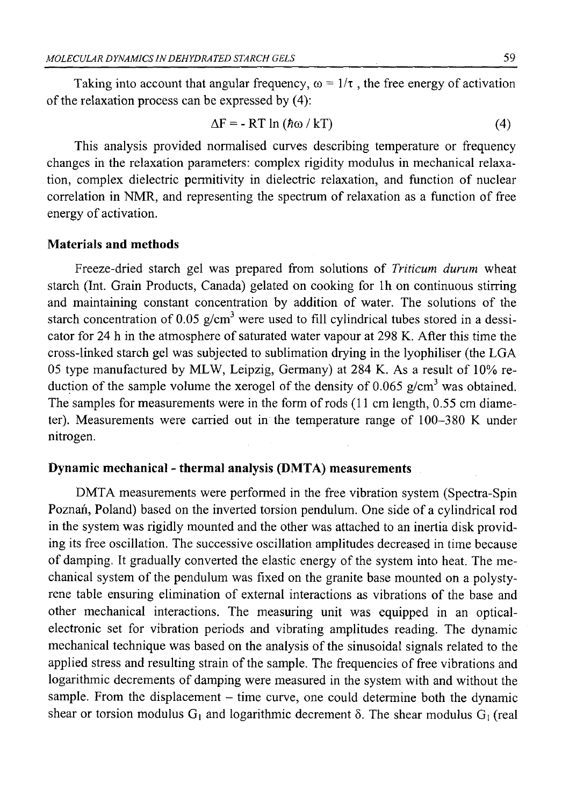Taking into account that angular frequency,  $\omega = 1/\tau$ , the free energy of activation of the relaxation process can be expressed by (4):

$$
\Delta F = - RT \ln (h\omega / kT) \tag{4}
$$

This analysis provided normalised curves describing temperature or frequency changes in the relaxation parameters: complex rigidity modulus in mechanical relaxation, complex dielectric permitivity in dielectric relaxation, and function of nuclear correlation in NMR, and representing the spectrum of relaxation as a function of free energy of activation.

## **Materials and methods**

Freeze-dried starch gel was prepared from solutions of *Triticum durum* wheat starch (Int. Grain Products, Canada) gelated on cooking for lh on continuous stirring and maintaining constant concentration by addition of water. The solutions of the starch concentration of 0.05 g/cm<sup>3</sup> were used to fill cylindrical tubes stored in a dessicator for 24 h in the atmosphere of saturated water vapour at 298 K. After this time the cross-linked starch gel was subjected to sublimation drying in the lyophiliser (the LG A 05 type manufactured by MLW, Leipzig, Germany) at 284 K. As a result of 10% reduction of the sample volume the xerogel of the density of 0.065  $g/cm<sup>3</sup>$  was obtained. The samples for measurements were in the form of rods (11 cm length, 0.55 cm diameter). Measurements were carried out in the temperature range of 100-380 K under nitrogen.

# **Dynamic mechanical - thermal analysis (DMTA) measurements**

DMTA measurements were performed in the free vibration system (Spectra-Spin Poznań, Poland) based on the inverted torsion pendulum. One side of a cylindrical rod in the system was rigidly mounted and the other was attached to an inertia disk providing its free oscillation. The successive oscillation amplitudes decreased in time because of damping. It gradually converted the elastic energy of the system into heat. The mechanical system of the pendulum was fixed on the granite base mounted on a polystyrene table ensuring elimination of external interactions as vibrations of the base and other mechanical interactions. The measuring unit was equipped in an opticalelectronic set for vibration periods and vibrating amplitudes reading. The dynamic mechanical technique was based on the analysis of the sinusoidal signals related to the applied stress and resulting strain of the sample. The frequencies of free vibrations and logarithmic decrements of damping were measured in the system with and without the sample. From the displacement  $-$  time curve, one could determine both the dynamic shear or torsion modulus  $G_1$  and logarithmic decrement  $\delta$ . The shear modulus  $G_1$  (real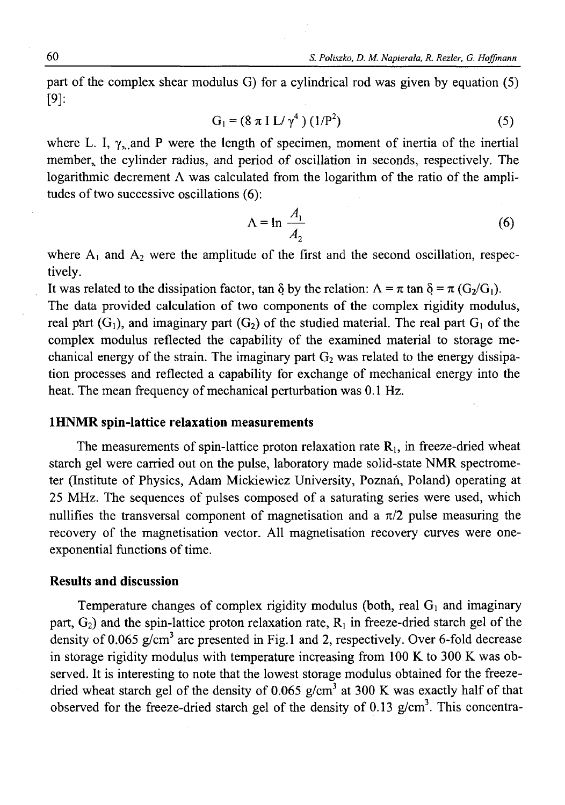part of the complex shear modulus G) for a cylindrical rod was given by equation (5) [9]:

$$
G_1 = (8 \pi I L / \gamma^4) (1/P^2)
$$
 (5)

where L. I,  $\gamma_{n}$  and P were the length of specimen, moment of inertia of the inertial member,, the cylinder radius, and period of oscillation in seconds, respectively. The logarithmic decrement  $\Lambda$  was calculated from the logarithm of the ratio of the amplitudes of two successive oscillations  $(6)$ :

$$
\Lambda = \ln \frac{A_1}{A_2} \tag{6}
$$

where  $A_1$  and  $A_2$  were the amplitude of the first and the second oscillation, respectively.

It was related to the dissipation factor, tan  $\delta$  by the relation:  $\Lambda = \pi \tan \delta = \pi (G_2/G_1)$ .

The data provided calculation of two components of the complex rigidity modulus, real part  $(G_1)$ , and imaginary part  $(G_2)$  of the studied material. The real part  $G_1$  of the complex modulus reflected the capability of the examined material to storage mechanical energy of the strain. The imaginary part  $G_2$  was related to the energy dissipation processes and reflected a capability for exchange of mechanical energy into the heat. The mean frequency of mechanical perturbation was 0.1 Hz.

#### **1HNMR spin-lattice relaxation measurements**

The measurements of spin-lattice proton relaxation rate  $R_1$ , in freeze-dried wheat starch gel were carried out on the pulse, laboratory made solid-state NMR spectrometer (Institute of Physics, Adam Mickiewicz University, Poznań, Poland) operating at 25 MHz. The sequences of pulses composed of a saturating series were used, which nullifies the transversal component of magnetisation and a  $\pi/2$  pulse measuring the recovery of the magnetisation vector. All magnetisation recovery curves were oneexponential functions of time.

#### **Results and discussion**

Temperature changes of complex rigidity modulus (both, real  $G_1$  and imaginary part,  $G_2$ ) and the spin-lattice proton relaxation rate,  $R_1$  in freeze-dried starch gel of the density of 0.065  $g/cm<sup>3</sup>$  are presented in Fig.1 and 2, respectively. Over 6-fold decrease in storage rigidity modulus with temperature increasing from 100 K to 300 K was observed. It is interesting to note that the lowest storage modulus obtained for the freezedried wheat starch gel of the density of 0.065  $g/cm<sup>3</sup>$  at 300 K was exactly half of that observed for the freeze-dried starch gel of the density of 0.13  $g/cm<sup>3</sup>$ . This concentra-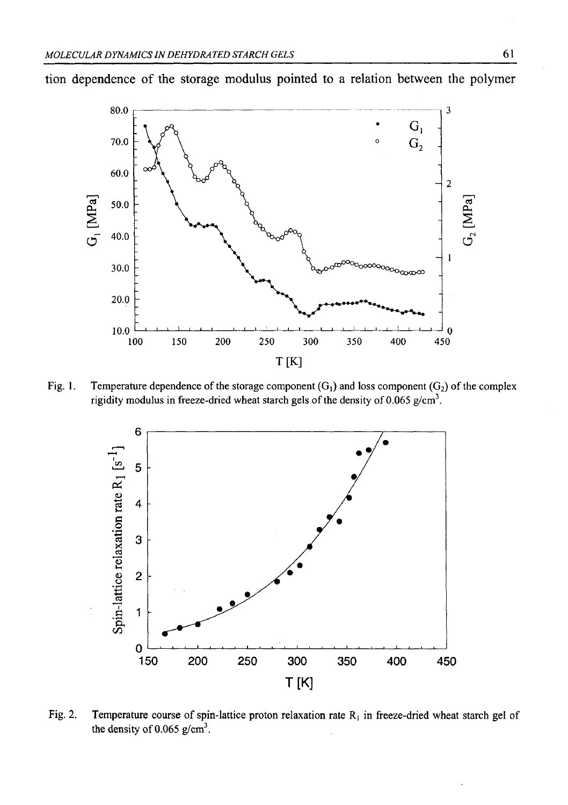

tion dependence of the storage modulus pointed to a relation between the polymer

Fig. 1. Temperature dependence of the storage component  $(G_1)$  and loss component  $(G_2)$  of the complex rigidity modulus in freeze-dried wheat starch gels of the density of 0.065 g/cm<sup>3</sup>.



Fig. 2. Temperature course of spin-lattice proton relaxation rate  $R_1$  in freeze-dried wheat starch gel of the density of  $0.065$  g/cm<sup>3</sup>.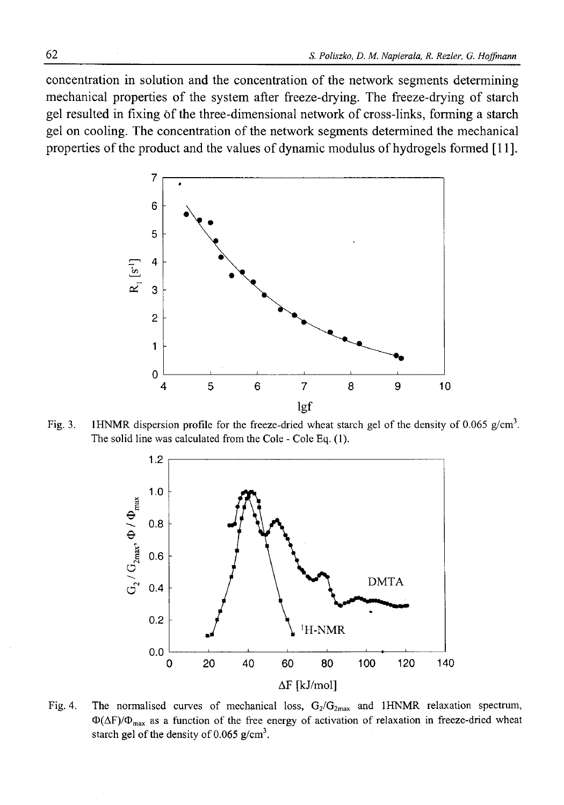concentration in solution and the concentration of the network segments determining mechanical properties of the system after freeze-drying. The freeze-drying of starch gel resulted in fixing of the three-dimensional network of cross-links, forming a starch gel on cooling. The concentration of the network segments determined the mechanical properties of the product and the values of dynamic modulus of hydrogels formed [11].



Fig. 3. 1HNMR dispersion profile for the freeze-dried wheat starch gel of the density of 0.065 g/cm<sup>3</sup>. The solid line was calculated from the Cole - Cole Eq. (1).



Fig. 4. The normalised curves of mechanical loss,  $G_2/G_{2\text{max}}$  and 1HNMR relaxation spectrum,  $\Phi(\Delta F)/\Phi_{\text{max}}$  as a function of the free energy of activation of relaxation in freeze-dried wheat starch gel of the density of  $0.065$  g/cm<sup>3</sup>.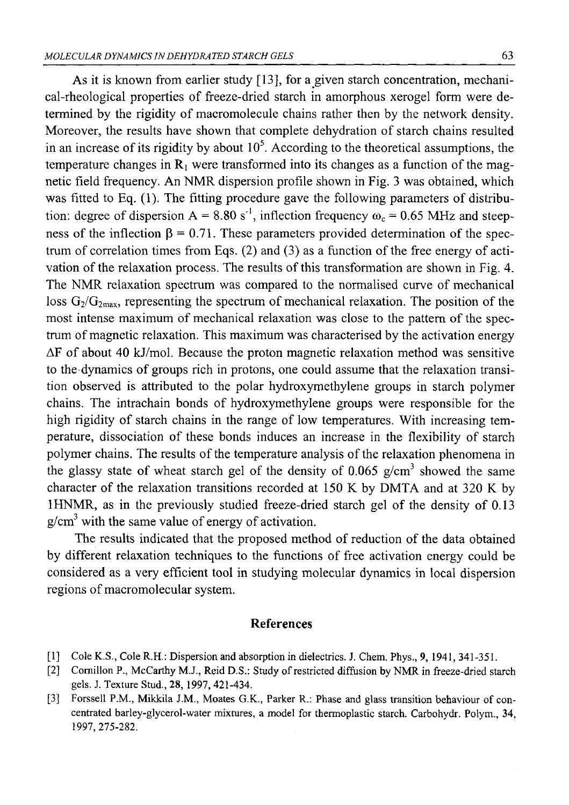As it is known from earlier study [13], for a given starch concentration, mechanical-rheological properties of freeze-dried starch in amorphous xerogel form were determined by the rigidity of macromolecule chains rather then by the network density. Moreover, the results have shown that complete dehydration of starch chains resulted in an increase of its rigidity by about  $10<sup>5</sup>$ . According to the theoretical assumptions, the temperature changes in  $R_1$  were transformed into its changes as a function of the magnetic field frequency. An NMR dispersion profile shown in Fig. 3 was obtained, which was fitted to Eq. (1). The fitting procedure gave the following parameters of distribution: degree of dispersion  $A = 8.80 s^{-1}$ , inflection frequency  $\omega_c = 0.65 \text{ MHz}$  and steepness of the inflection  $\beta = 0.71$ . These parameters provided determination of the spectrum of correlation times from Eqs. (2) and (3) as a function of the free energy of activation of the relaxation process. The results of this transformation are shown in Fig. 4. The NMR relaxation spectrum was compared to the normalised curve of mechanical loss  $G_2/G_{2max}$ , representing the spectrum of mechanical relaxation. The position of the most intense maximum of mechanical relaxation was close to the pattern of the spectrum of magnetic relaxation. This maximum was characterised by the activation energy AF of about 40 kJ/mol. Because the proton magnetic relaxation method was sensitive to the dynamics of groups rich in protons, one could assume that the relaxation transition observed is attributed to the polar hydroxymethylene groups in starch polymer chains. The intrachain bonds of hydroxymethylene groups were responsible for the high rigidity of starch chains in the range of low temperatures. With increasing temperature, dissociation of these bonds induces an increase in the flexibility of starch polymer chains. The results of the temperature analysis of the relaxation phenomena in the glassy state of wheat starch gel of the density of 0.065  $g/cm<sup>3</sup>$  showed the same character of the relaxation transitions recorded at 150 K by DMTA and at 320 K by 1HNMR, as in the previously studied freeze-dried starch gel of the density of 0.13  $g/cm<sup>3</sup>$  with the same value of energy of activation.

The results indicated that the proposed method of reduction of the data obtained by different relaxation techniques to the functions of free activation energy could be considered as a very efficient tool in studying molecular dynamics in local dispersion regions of macromolecular system.

#### **References**

- [1] Cole K.S., Cole R.H.: Dispersion and absorption in dielectrics. J. Chem. Phys., 9, 1941, 341-351.
- [2] Comillon P., McCarthy M.J., Reid D.S.: Study of restricted diffusion by NMR in freeze-dried starch gels. J. Texture Stud., **28,** 1997, 421-434.
- [3] Forssell P.M., Mikkila J.M., Moates G.K., Parker R.: Phase and glass transition behaviour of concentrated barley-glycerol-water mixtures, a model for thermoplastic starch. Carbohydr. Polym., **34,** 1997, 275-282.